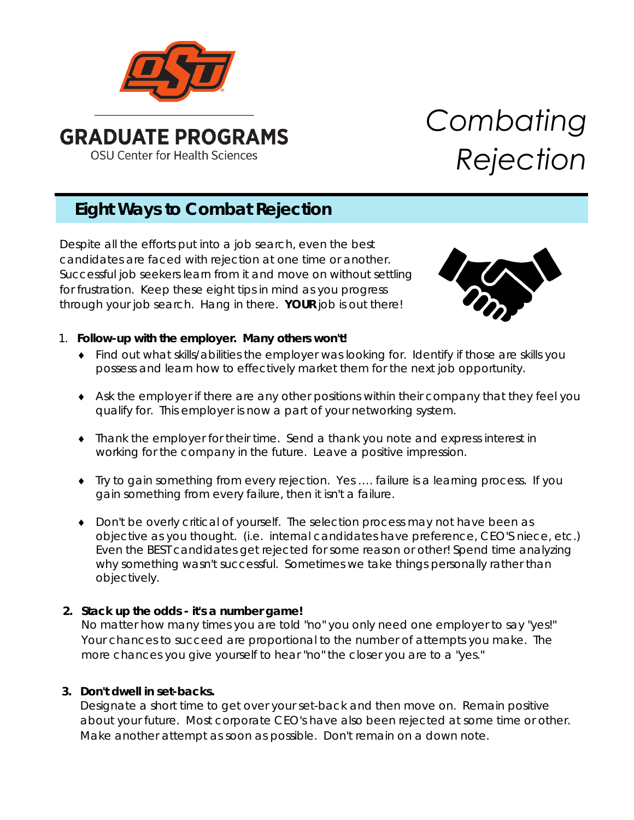

# *Combating Rejection*

# **Eight Ways to Combat Rejection**

Despite all the efforts put into a job search, even the best candidates are faced with rejection at one time or another. Successful job seekers learn from it and move on without settling for frustration. Keep these eight tips in mind as you progress through your job search. Hang in there. **YOUR** job is out there!



# 1. **Follow-up with the employer. Many others won't!**

- ♦ Find out what skills/abilities the employer was looking for. Identify if those are skills you possess and learn how to effectively market them for the next job opportunity.
- ♦ Ask the employer if there are any other positions within their company that they feel you qualify for. This employer is now a part of your networking system.
- ♦ Thank the employer for their time. Send a thank you note and express interest in working for the company in the future. Leave a positive impression.
- ♦ Try to gain something from every rejection. Yes …. failure is a learning process. If you gain something from every failure, then it isn't a failure.
- ♦ Don't be overly critical of yourself. The selection process may not have been as objective as you thought. (i.e. internal candidates have preference, CEO'S niece, etc.) Even the BEST candidates get rejected for some reason or other! Spend time analyzing why something wasn't successful. Sometimes we take things personally rather than objectively.

# **2. Stack up the odds - it's a number game!**

No matter how many times you are told "no" you only need one employer to say "yes!" Your chances to succeed are proportional to the number of attempts you make. The more chances you give yourself to hear "no" the closer you are to a "yes."

# **3. Don't dwell in set-backs.**

Designate a short time to get over your set-back and then move on. Remain positive about your future. Most corporate CEO's have also been rejected at some time or other. Make another attempt as soon as possible. Don't remain on a down note.